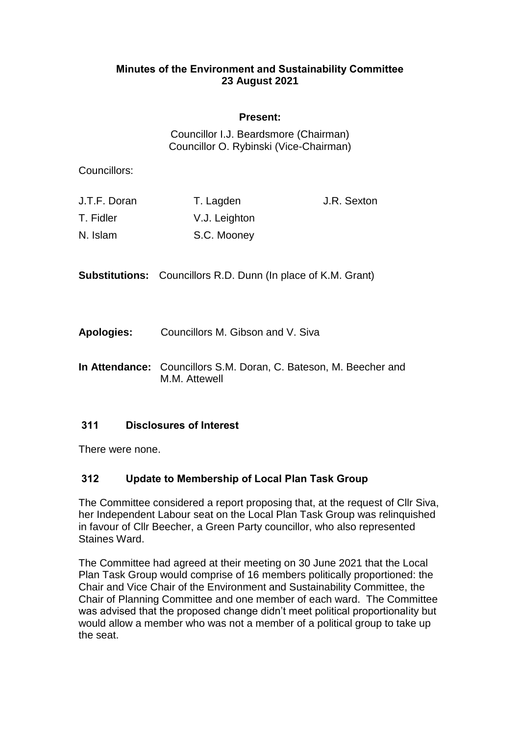## **Minutes of the Environment and Sustainability Committee 23 August 2021**

## **Present:**

Councillor I.J. Beardsmore (Chairman) Councillor O. Rybinski (Vice-Chairman)

Councillors:

| J.T.F. Doran | T. Lagden     | J.R. Sexton |
|--------------|---------------|-------------|
| T. Fidler    | V.J. Leighton |             |
| N. Islam     | S.C. Mooney   |             |

**Substitutions:** Councillors R.D. Dunn (In place of K.M. Grant)

**Apologies:** Councillors M. Gibson and V. Siva

**In Attendance:** Councillors S.M. Doran, C. Bateson, M. Beecher and M.M. Attewell

## **311 Disclosures of Interest**

There were none.

## **312 Update to Membership of Local Plan Task Group**

The Committee considered a report proposing that, at the request of Cllr Siva, her Independent Labour seat on the Local Plan Task Group was relinquished in favour of Cllr Beecher, a Green Party councillor, who also represented Staines Ward.

The Committee had agreed at their meeting on 30 June 2021 that the Local Plan Task Group would comprise of 16 members politically proportioned: the Chair and Vice Chair of the Environment and Sustainability Committee, the Chair of Planning Committee and one member of each ward. The Committee was advised that the proposed change didn't meet political proportionality but would allow a member who was not a member of a political group to take up the seat.